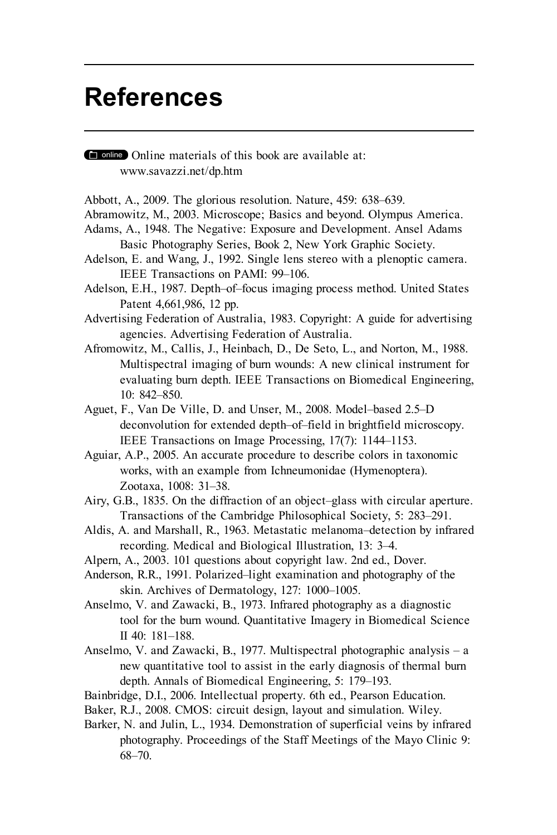## **References**

Online materials of this book are available at: www.savazzi.net/dp.htm

- Abbott, A., 2009. The glorious resolution. Nature, 459: 638–639.
- Abramowitz, M., 2003. Microscope; Basics and beyond. Olympus America.
- Adams, A., 1948. The Negative: Exposure and Development. Ansel Adams Basic Photography Series, Book 2, New York Graphic Society.
- Adelson, E. and Wang, J., 1992. Single lens stereo with a plenoptic camera. IEEE Transactions on PAMI: 99–106.
- Adelson, E.H., 1987. Depth–of–focus imaging process method. United States Patent 4,661,986, 12 pp.
- Advertising Federation of Australia, 1983. Copyright: A guide for advertising agencies. Advertising Federation of Australia.
- Afromowitz, M., Callis, J., Heinbach, D., De Seto, L., and Norton, M., 1988. Multispectral imaging of burn wounds: A new clinical instrument for evaluating burn depth. IEEE Transactions on Biomedical Engineering, 10: 842–850.
- Aguet, F., Van De Ville, D. and Unser, M., 2008. Model–based 2.5–D deconvolution for extended depth–of–field in brightfield microscopy. IEEE Transactions on Image Processing, 17(7): 1144–1153.
- Aguiar, A.P., 2005. An accurate procedure to describe colors in taxonomic works, with an example from Ichneumonidae (Hymenoptera). Zootaxa, 1008: 31–38.
- Airy, G.B., 1835. On the diffraction of an object–glass with circular aperture. Transactions of the Cambridge Philosophical Society, 5: 283–291.
- Aldis, A. and Marshall, R., 1963. Metastatic melanoma–detection by infrared recording. Medical and Biological Illustration, 13: 3–4.
- Alpern, A., 2003. 101 questions about copyright law. 2nd ed., Dover.
- Anderson, R.R., 1991. Polarized–light examination and photography of the skin. Archives of Dermatology, 127: 1000–1005.
- Anselmo, V. and Zawacki, B., 1973. Infrared photography as a diagnostic tool for the burn wound. Quantitative Imagery in Biomedical Science II 40: 181–188.
- Anselmo, V. and Zawacki, B., 1977. Multispectral photographic analysis a new quantitative tool to assist in the early diagnosis of thermal burn depth. Annals of Biomedical Engineering, 5: 179–193.
- Bainbridge, D.I., 2006. Intellectual property. 6th ed., Pearson Education.
- Baker, R.J., 2008. CMOS: circuit design, layout and simulation. Wiley.
- Barker, N. and Julin, L., 1934. Demonstration of superficial veins by infrared photography. Proceedings of the Staff Meetings of the Mayo Clinic 9: 68–70.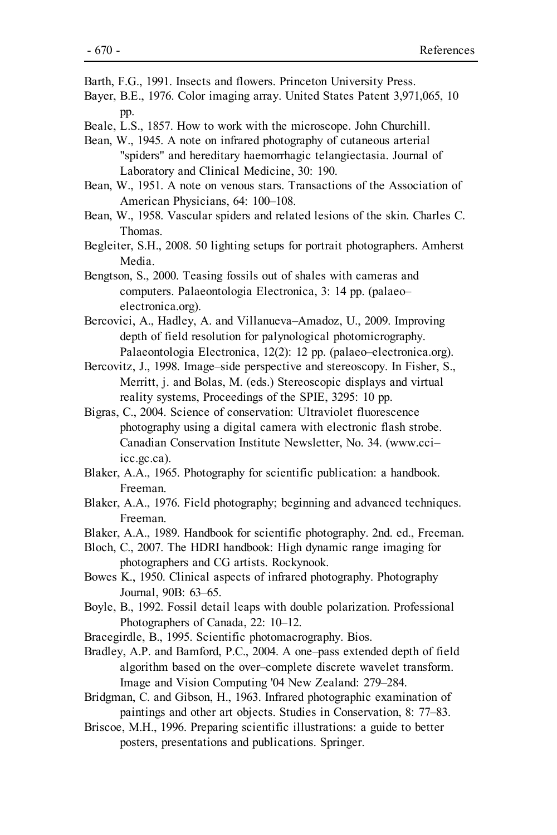- Barth, F.G., 1991. Insects and flowers. Princeton University Press.
- Bayer, B.E., 1976. Color imaging array. United States Patent 3,971,065, 10 pp.
- Beale, L.S., 1857. How to work with the microscope. John Churchill.
- Bean, W., 1945. A note on infrared photography of cutaneous arterial "spiders" and hereditary haemorrhagic telangiectasia. Journal of Laboratory and Clinical Medicine, 30: 190.
- Bean, W., 1951. A note on venous stars. Transactions of the Association of American Physicians, 64: 100–108.
- Bean, W., 1958. Vascular spiders and related lesions of the skin. Charles C. Thomas.
- Begleiter, S.H., 2008. 50 lighting setups for portrait photographers. Amherst Media.
- Bengtson, S., 2000. Teasing fossils out of shales with cameras and computers. Palaeontologia Electronica, 3: 14 pp. (palaeo– electronica.org).
- Bercovici, A., Hadley, A. and Villanueva–Amadoz, U., 2009. Improving depth of field resolution for palynological photomicrography. Palaeontologia Electronica, 12(2): 12 pp. (palaeo–electronica.org).
- Bercovitz, J., 1998. Image–side perspective and stereoscopy. In Fisher, S., Merritt, j. and Bolas, M. (eds.) Stereoscopic displays and virtual reality systems, Proceedings of the SPIE, 3295: 10 pp.
- Bigras, C., 2004. Science of conservation: Ultraviolet fluorescence photography using a digital camera with electronic flash strobe. Canadian Conservation Institute Newsletter, No. 34. (www.cci– icc.gc.ca).
- Blaker, A.A., 1965. Photography for scientific publication: a handbook. Freeman.
- Blaker, A.A., 1976. Field photography; beginning and advanced techniques. Freeman.
- Blaker, A.A., 1989. Handbook for scientific photography. 2nd. ed., Freeman.
- Bloch, C., 2007. The HDRI handbook: High dynamic range imaging for photographers and CG artists. Rockynook.
- Bowes K., 1950. Clinical aspects of infrared photography. Photography Journal, 90B: 63–65.
- Boyle, B., 1992. Fossil detail leaps with double polarization. Professional Photographers of Canada, 22: 10–12.
- Bracegirdle, B., 1995. Scientific photomacrography. Bios.
- Bradley, A.P. and Bamford, P.C., 2004. A one–pass extended depth of field algorithm based on the over–complete discrete wavelet transform. Image and Vision Computing '04 New Zealand: 279–284.
- Bridgman, C. and Gibson, H., 1963. Infrared photographic examination of paintings and other art objects. Studies in Conservation, 8: 77–83.
- Briscoe, M.H., 1996. Preparing scientific illustrations: a guide to better posters, presentations and publications. Springer.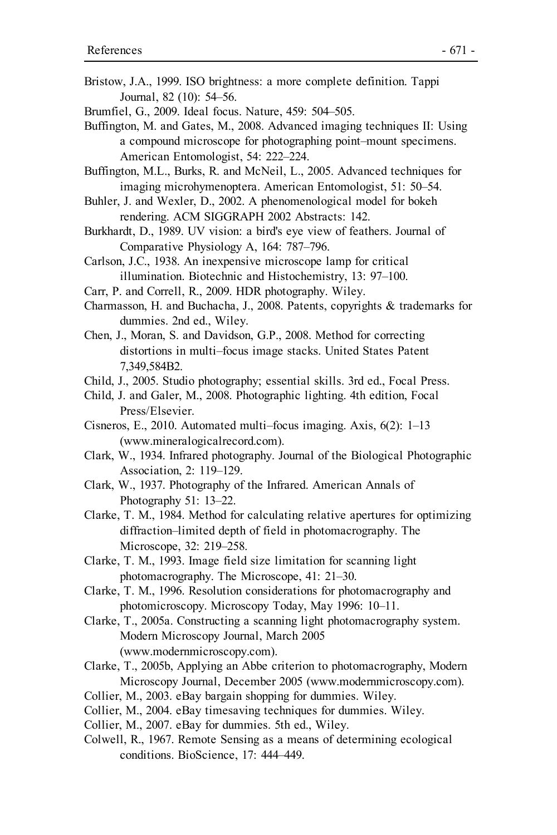- Bristow, J.A., 1999. ISO brightness: a more complete definition. Tappi Journal, 82 (10): 54–56.
- Brumfiel, G., 2009. Ideal focus. Nature, 459: 504–505.
- Buffington, M. and Gates, M., 2008. Advanced imaging techniques II: Using a compound microscope for photographing point–mount specimens. American Entomologist, 54: 222–224.
- Buffington, M.L., Burks, R. and McNeil, L., 2005. Advanced techniques for imaging microhymenoptera. American Entomologist, 51: 50–54.
- Buhler, J. and Wexler, D., 2002. A phenomenological model for bokeh rendering. ACM SIGGRAPH 2002 Abstracts: 142.
- Burkhardt, D., 1989. UV vision: a bird's eye view of feathers. Journal of Comparative Physiology A, 164: 787–796.
- Carlson, J.C., 1938. An inexpensive microscope lamp for critical illumination. Biotechnic and Histochemistry, 13: 97–100.
- Carr, P. and Correll, R., 2009. HDR photography. Wiley.
- Charmasson, H. and Buchacha, J., 2008. Patents, copyrights & trademarks for dummies. 2nd ed., Wiley.
- Chen, J., Moran, S. and Davidson, G.P., 2008. Method for correcting distortions in multi–focus image stacks. United States Patent 7,349,584B2.
- Child, J., 2005. Studio photography; essential skills. 3rd ed., Focal Press.
- Child, J. and Galer, M., 2008. Photographic lighting. 4th edition, Focal Press/Elsevier.
- Cisneros, E., 2010. Automated multi–focus imaging. Axis, 6(2): 1–13 (www.mineralogicalrecord.com).
- Clark, W., 1934. Infrared photography. Journal of the Biological Photographic Association, 2: 119–129.
- Clark, W., 1937. Photography of the Infrared. American Annals of Photography 51: 13-22.
- Clarke, T. M., 1984. Method for calculating relative apertures for optimizing diffraction–limited depth of field in photomacrography. The Microscope, 32: 219–258.
- Clarke, T. M., 1993. Image field size limitation for scanning light photomacrography. The Microscope, 41: 21–30.
- Clarke, T. M., 1996. Resolution considerations for photomacrography and photomicroscopy. Microscopy Today, May 1996: 10–11.
- Clarke, T., 2005a. Constructing a scanning light photomacrography system. Modern Microscopy Journal, March 2005 (www.modernmicroscopy.com).
- Clarke, T., 2005b, Applying an Abbe criterion to photomacrography, Modern Microscopy Journal, December 2005 (www.modernmicroscopy.com).
- Collier, M., 2003. eBay bargain shopping for dummies. Wiley.
- Collier, M., 2004. eBay timesaving techniques for dummies. Wiley.
- Collier, M., 2007. eBay for dummies. 5th ed., Wiley.
- Colwell, R., 1967. Remote Sensing as a means of determining ecological conditions. BioScience, 17: 444–449.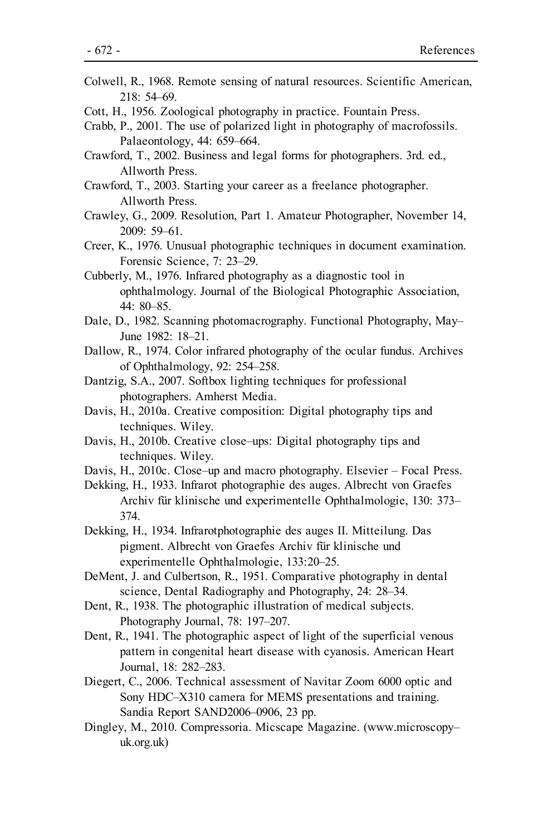- Colwell, R., 1968. Remote sensing of natural resources. Scientific American, 218: 54–69.
- Cott, H., 1956. Zoological photography in practice. Fountain Press.
- Crabb, P., 2001. The use of polarized light in photography of macrofossils. Palaeontology, 44: 659–664.
- Crawford, T., 2002. Business and legal forms for photographers. 3rd. ed., Allworth Press.
- Crawford, T., 2003. Starting your career as a freelance photographer. Allworth Press.
- Crawley, G., 2009. Resolution, Part 1. Amateur Photographer, November 14, 2009: 59–61.
- Creer, K., 1976. Unusual photographic techniques in document examination. Forensic Science, 7: 23–29.
- Cubberly, M., 1976. Infrared photography as a diagnostic tool in ophthalmology. Journal of the Biological Photographic Association, 44: 80–85.
- Dale, D., 1982. Scanning photomacrography. Functional Photography, May– June 1982: 18–21.
- Dallow, R., 1974. Color infrared photography of the ocular fundus. Archives of Ophthalmology, 92: 254–258.
- Dantzig, S.A., 2007. Softbox lighting techniques for professional photographers. Amherst Media.
- Davis, H., 2010a. Creative composition: Digital photography tips and techniques. Wiley.
- Davis, H., 2010b. Creative close–ups: Digital photography tips and techniques. Wiley.
- Davis, H., 2010c. Close–up and macro photography. Elsevier Focal Press.
- Dekking, H., 1933. Infrarot photographie des auges. Albrecht von Graefes Archiv für klinische und experimentelle Ophthalmologie, 130: 373– 374.
- Dekking, H., 1934. Infrarotphotographie des auges II. Mitteilung. Das pigment. Albrecht von Graefes Archiv für klinische und experimentelle Ophthalmologie, 133:20–25.
- DeMent, J. and Culbertson, R., 1951. Comparative photography in dental science, Dental Radiography and Photography, 24: 28–34.
- Dent, R., 1938. The photographic illustration of medical subjects. Photography Journal, 78: 197–207.
- Dent, R., 1941. The photographic aspect of light of the superficial venous pattern in congenital heart disease with cyanosis. American Heart Journal, 18: 282–283.
- Diegert, C., 2006. Technical assessment of Navitar Zoom 6000 optic and Sony HDC–X310 camera for MEMS presentations and training. Sandia Report SAND2006–0906, 23 pp.
- Dingley, M., 2010. Compressoria. Micscape Magazine. (www.microscopy– uk.org.uk)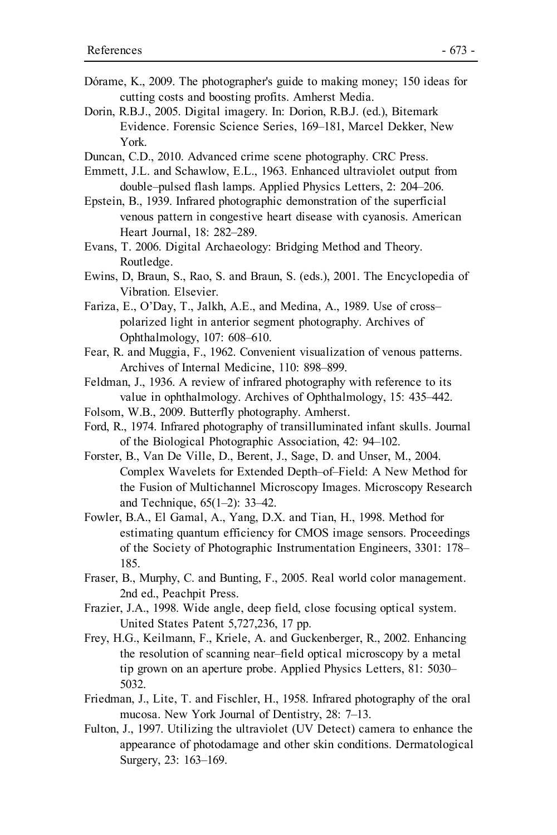- Dórame, K., 2009. The photographer's guide to making money; 150 ideas for cutting costs and boosting profits. Amherst Media.
- Dorin, R.B.J., 2005. Digital imagery. In: Dorion, R.B.J. (ed.), Bitemark Evidence. Forensic Science Series, 169–181, Marcel Dekker, New York.
- Duncan, C.D., 2010. Advanced crime scene photography. CRC Press.
- Emmett, J.L. and Schawlow, E.L., 1963. Enhanced ultraviolet output from double–pulsed flash lamps. Applied Physics Letters, 2: 204–206.
- Epstein, B., 1939. Infrared photographic demonstration of the superficial venous pattern in congestive heart disease with cyanosis. American Heart Journal, 18: 282–289.
- Evans, T. 2006. Digital Archaeology: Bridging Method and Theory. Routledge.
- Ewins, D, Braun, S., Rao, S. and Braun, S. (eds.), 2001. The Encyclopedia of Vibration. Elsevier.
- Fariza, E., O'Day, T., Jalkh, A.E., and Medina, A., 1989. Use of cross– polarized light in anterior segment photography. Archives of Ophthalmology, 107: 608–610.
- Fear, R. and Muggia, F., 1962. Convenient visualization of venous patterns. Archives of Internal Medicine, 110: 898–899.
- Feldman, J., 1936. A review of infrared photography with reference to its value in ophthalmology. Archives of Ophthalmology, 15: 435–442.
- Folsom, W.B., 2009. Butterfly photography. Amherst.
- Ford, R., 1974. Infrared photography of transilluminated infant skulls. Journal of the Biological Photographic Association, 42: 94–102.
- Forster, B., Van De Ville, D., Berent, J., Sage, D. and Unser, M., 2004. Complex Wavelets for Extended Depth–of–Field: A New Method for the Fusion of Multichannel Microscopy Images. Microscopy Research and Technique, 65(1–2): 33–42.
- Fowler, B.A., El Gamal, A., Yang, D.X. and Tian, H., 1998. Method for estimating quantum efficiency for CMOS image sensors. Proceedings of the Society of Photographic Instrumentation Engineers, 3301: 178– 185.
- Fraser, B., Murphy, C. and Bunting, F., 2005. Real world color management. 2nd ed., Peachpit Press.
- Frazier, J.A., 1998. Wide angle, deep field, close focusing optical system. United States Patent 5,727,236, 17 pp.
- Frey, H.G., Keilmann, F., Kriele, A. and Guckenberger, R., 2002. Enhancing the resolution of scanning near–field optical microscopy by a metal tip grown on an aperture probe. Applied Physics Letters, 81: 5030– 5032.
- Friedman, J., Lite, T. and Fischler, H., 1958. Infrared photography of the oral mucosa. New York Journal of Dentistry, 28: 7–13.
- Fulton, J., 1997. Utilizing the ultraviolet (UV Detect) camera to enhance the appearance of photodamage and other skin conditions. Dermatological Surgery, 23: 163–169.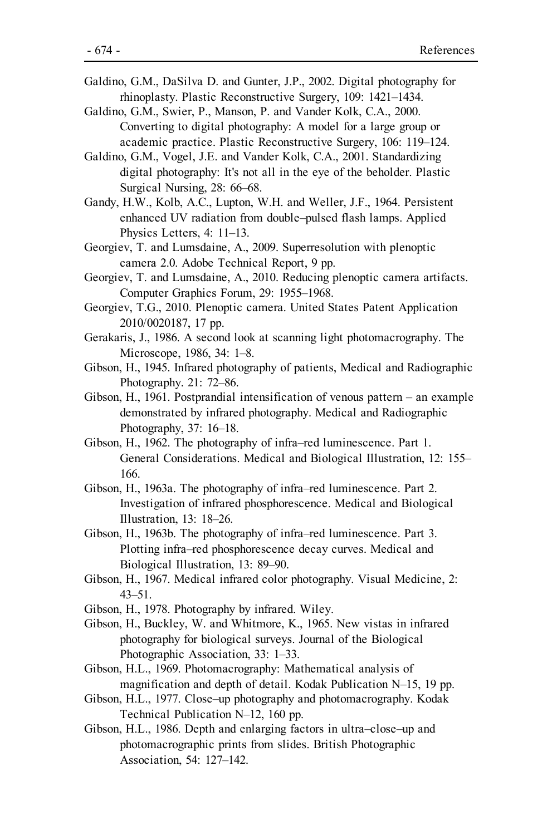- Galdino, G.M., DaSilva D. and Gunter, J.P., 2002. Digital photography for rhinoplasty. Plastic Reconstructive Surgery, 109: 1421–1434.
- Galdino, G.M., Swier, P., Manson, P. and Vander Kolk, C.A., 2000. Converting to digital photography: A model for a large group or academic practice. Plastic Reconstructive Surgery, 106: 119–124.
- Galdino, G.M., Vogel, J.E. and Vander Kolk, C.A., 2001. Standardizing digital photography: It's not all in the eye of the beholder. Plastic Surgical Nursing, 28: 66–68.
- Gandy, H.W., Kolb, A.C., Lupton, W.H. and Weller, J.F., 1964. Persistent enhanced UV radiation from double–pulsed flash lamps. Applied Physics Letters, 4: 11–13.
- Georgiev, T. and Lumsdaine, A., 2009. Superresolution with plenoptic camera 2.0. Adobe Technical Report, 9 pp.
- Georgiev, T. and Lumsdaine, A., 2010. Reducing plenoptic camera artifacts. Computer Graphics Forum, 29: 1955–1968.
- Georgiev, T.G., 2010. Plenoptic camera. United States Patent Application 2010/0020187, 17 pp.
- Gerakaris, J., 1986. A second look at scanning light photomacrography. The Microscope, 1986, 34: 1–8.
- Gibson, H., 1945. Infrared photography of patients, Medical and Radiographic Photography. 21: 72–86.
- Gibson, H., 1961. Postprandial intensification of venous pattern an example demonstrated by infrared photography. Medical and Radiographic Photography, 37: 16–18.
- Gibson, H., 1962. The photography of infra–red luminescence. Part 1. General Considerations. Medical and Biological Illustration, 12: 155– 166.
- Gibson, H., 1963a. The photography of infra–red luminescence. Part 2. Investigation of infrared phosphorescence. Medical and Biological Illustration, 13: 18–26.
- Gibson, H., 1963b. The photography of infra–red luminescence. Part 3. Plotting infra–red phosphorescence decay curves. Medical and Biological Illustration, 13: 89–90.
- Gibson, H., 1967. Medical infrared color photography. Visual Medicine, 2: 43–51.
- Gibson, H., 1978. Photography by infrared. Wiley.
- Gibson, H., Buckley, W. and Whitmore, K., 1965. New vistas in infrared photography for biological surveys. Journal of the Biological Photographic Association, 33: 1–33.
- Gibson, H.L., 1969. Photomacrography: Mathematical analysis of magnification and depth of detail. Kodak Publication N–15, 19 pp.
- Gibson, H.L., 1977. Close–up photography and photomacrography. Kodak Technical Publication N–12, 160 pp.
- Gibson, H.L., 1986. Depth and enlarging factors in ultra–close–up and photomacrographic prints from slides. British Photographic Association, 54: 127–142.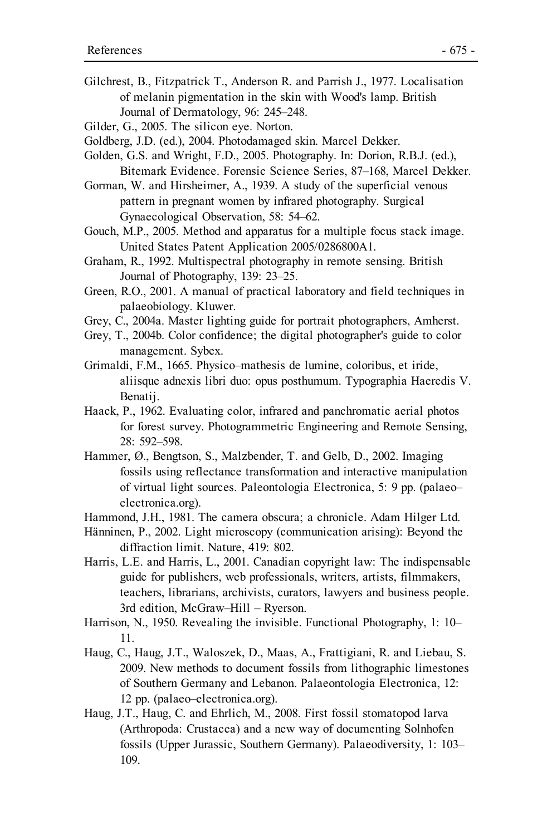- Gilchrest, B., Fitzpatrick T., Anderson R. and Parrish J., 1977. Localisation of melanin pigmentation in the skin with Wood's lamp. British Journal of Dermatology, 96: 245–248.
- Gilder, G., 2005. The silicon eye. Norton.
- Goldberg, J.D. (ed.), 2004. Photodamaged skin. Marcel Dekker.
- Golden, G.S. and Wright, F.D., 2005. Photography. In: Dorion, R.B.J. (ed.), Bitemark Evidence. Forensic Science Series, 87–168, Marcel Dekker.
- Gorman, W. and Hirsheimer, A., 1939. A study of the superficial venous pattern in pregnant women by infrared photography. Surgical Gynaecological Observation, 58: 54–62.
- Gouch, M.P., 2005. Method and apparatus for a multiple focus stack image. United States Patent Application 2005/0286800A1.
- Graham, R., 1992. Multispectral photography in remote sensing. British Journal of Photography, 139: 23–25.
- Green, R.O., 2001. A manual of practical laboratory and field techniques in palaeobiology. Kluwer.
- Grey, C., 2004a. Master lighting guide for portrait photographers, Amherst.
- Grey, T., 2004b. Color confidence; the digital photographer's guide to color management. Sybex.
- Grimaldi, F.M., 1665. Physico–mathesis de lumine, coloribus, et iride, aliisque adnexis libri duo: opus posthumum. Typographia Haeredis V. Benatij.
- Haack, P., 1962. Evaluating color, infrared and panchromatic aerial photos for forest survey. Photogrammetric Engineering and Remote Sensing, 28: 592–598.
- Hammer, Ø., Bengtson, S., Malzbender, T. and Gelb, D., 2002. Imaging fossils using reflectance transformation and interactive manipulation of virtual light sources. Paleontologia Electronica, 5: 9 pp. (palaeo– electronica.org).
- Hammond, J.H., 1981. The camera obscura; a chronicle. Adam Hilger Ltd.
- Hänninen, P., 2002. Light microscopy (communication arising): Beyond the diffraction limit. Nature, 419: 802.
- Harris, L.E. and Harris, L., 2001. Canadian copyright law: The indispensable guide for publishers, web professionals, writers, artists, filmmakers, teachers, librarians, archivists, curators, lawyers and business people. 3rd edition, McGraw–Hill – Ryerson.
- Harrison, N., 1950. Revealing the invisible. Functional Photography, 1: 10– 11.
- Haug, C., Haug, J.T., Waloszek, D., Maas, A., Frattigiani, R. and Liebau, S. 2009. New methods to document fossils from lithographic limestones of Southern Germany and Lebanon. Palaeontologia Electronica, 12: 12 pp. (palaeo–electronica.org).
- Haug, J.T., Haug, C. and Ehrlich, M., 2008. First fossil stomatopod larva (Arthropoda: Crustacea) and a new way of documenting Solnhofen fossils (Upper Jurassic, Southern Germany). Palaeodiversity, 1: 103– 109.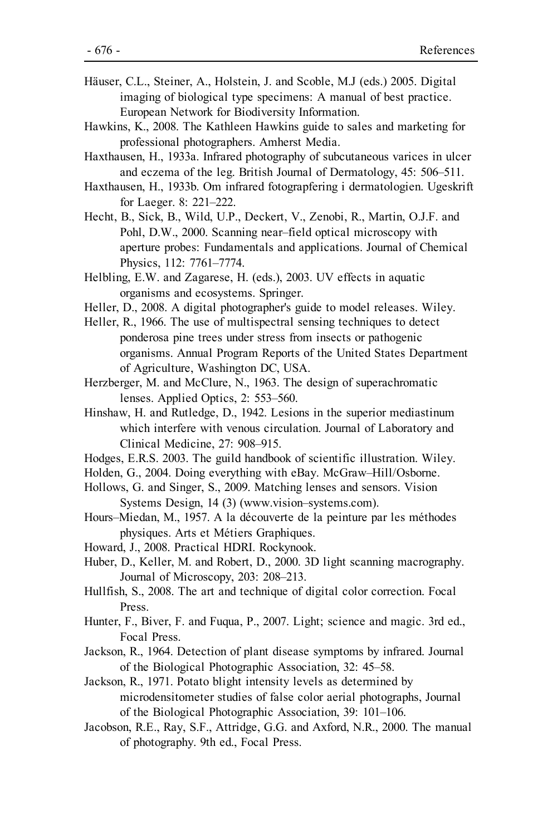- Häuser, C.L., Steiner, A., Holstein, J. and Scoble, M.J (eds.) 2005. Digital imaging of biological type specimens: A manual of best practice. European Network for Biodiversity Information.
- Hawkins, K., 2008. The Kathleen Hawkins guide to sales and marketing for professional photographers. Amherst Media.
- Haxthausen, H., 1933a. Infrared photography of subcutaneous varices in ulcer and eczema of the leg. British Journal of Dermatology, 45: 506–511.
- Haxthausen, H., 1933b. Om infrared fotograpfering i dermatologien. Ugeskrift for Laeger. 8: 221–222.
- Hecht, B., Sick, B., Wild, U.P., Deckert, V., Zenobi, R., Martin, O.J.F. and Pohl, D.W., 2000. Scanning near–field optical microscopy with aperture probes: Fundamentals and applications. Journal of Chemical Physics, 112: 7761–7774.
- Helbling, E.W. and Zagarese, H. (eds.), 2003. UV effects in aquatic organisms and ecosystems. Springer.
- Heller, D., 2008. A digital photographer's guide to model releases. Wiley.
- Heller, R., 1966. The use of multispectral sensing techniques to detect ponderosa pine trees under stress from insects or pathogenic organisms. Annual Program Reports of the United States Department of Agriculture, Washington DC, USA.
- Herzberger, M. and McClure, N., 1963. The design of superachromatic lenses. Applied Optics, 2: 553–560.
- Hinshaw, H. and Rutledge, D., 1942. Lesions in the superior mediastinum which interfere with venous circulation. Journal of Laboratory and Clinical Medicine, 27: 908–915.
- Hodges, E.R.S. 2003. The guild handbook of scientific illustration. Wiley.
- Holden, G., 2004. Doing everything with eBay. McGraw–Hill/Osborne.
- Hollows, G. and Singer, S., 2009. Matching lenses and sensors. Vision Systems Design, 14 (3) (www.vision–systems.com).
- Hours–Miedan, M., 1957. A la découverte de la peinture par les méthodes physiques. Arts et Métiers Graphiques.
- Howard, J., 2008. Practical HDRI. Rockynook.
- Huber, D., Keller, M. and Robert, D., 2000. 3D light scanning macrography. Journal of Microscopy, 203: 208–213.
- Hullfish, S., 2008. The art and technique of digital color correction. Focal Press.
- Hunter, F., Biver, F. and Fuqua, P., 2007. Light; science and magic. 3rd ed., Focal Press.
- Jackson, R., 1964. Detection of plant disease symptoms by infrared. Journal of the Biological Photographic Association, 32: 45–58.
- Jackson, R., 1971. Potato blight intensity levels as determined by microdensitometer studies of false color aerial photographs, Journal of the Biological Photographic Association, 39: 101–106.
- Jacobson, R.E., Ray, S.F., Attridge, G.G. and Axford, N.R., 2000. The manual of photography. 9th ed., Focal Press.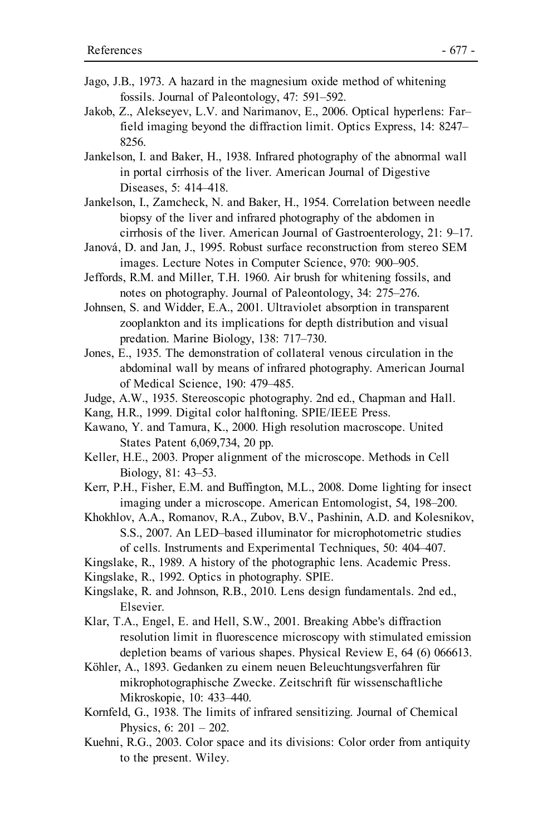- Jago, J.B., 1973. A hazard in the magnesium oxide method of whitening fossils. Journal of Paleontology, 47: 591–592.
- Jakob, Z., Alekseyev, L.V. and Narimanov, E., 2006. Optical hyperlens: Far– field imaging beyond the diffraction limit. Optics Express, 14: 8247– 8256.
- Jankelson, I. and Baker, H., 1938. Infrared photography of the abnormal wall in portal cirrhosis of the liver. American Journal of Digestive Diseases, 5: 414–418.
- Jankelson, I., Zamcheck, N. and Baker, H., 1954. Correlation between needle biopsy of the liver and infrared photography of the abdomen in cirrhosis of the liver. American Journal of Gastroenterology, 21: 9–17.
- Janová, D. and Jan, J., 1995. Robust surface reconstruction from stereo SEM images. Lecture Notes in Computer Science, 970: 900–905.
- Jeffords, R.M. and Miller, T.H. 1960. Air brush for whitening fossils, and notes on photography. Journal of Paleontology, 34: 275–276.
- Johnsen, S. and Widder, E.A., 2001. Ultraviolet absorption in transparent zooplankton and its implications for depth distribution and visual predation. Marine Biology, 138: 717–730.
- Jones, E., 1935. The demonstration of collateral venous circulation in the abdominal wall by means of infrared photography. American Journal of Medical Science, 190: 479–485.
- Judge, A.W., 1935. Stereoscopic photography. 2nd ed., Chapman and Hall.
- Kang, H.R., 1999. Digital color halftoning. SPIE/IEEE Press.
- Kawano, Y. and Tamura, K., 2000. High resolution macroscope. United States Patent 6,069,734, 20 pp.
- Keller, H.E., 2003. Proper alignment of the microscope. Methods in Cell Biology, 81: 43–53.
- Kerr, P.H., Fisher, E.M. and Buffington, M.L., 2008. Dome lighting for insect imaging under a microscope. American Entomologist, 54, 198–200.
- Khokhlov, A.A., Romanov, R.A., Zubov, B.V., Pashinin, A.D. and Kolesnikov, S.S., 2007. An LED–based illuminator for microphotometric studies of cells. Instruments and Experimental Techniques, 50: 404–407.
- Kingslake, R., 1989. A history of the photographic lens. Academic Press.
- Kingslake, R., 1992. Optics in photography. SPIE.
- Kingslake, R. and Johnson, R.B., 2010. Lens design fundamentals. 2nd ed., Elsevier.
- Klar, T.A., Engel, E. and Hell, S.W., 2001. Breaking Abbe's diffraction resolution limit in fluorescence microscopy with stimulated emission depletion beams of various shapes. Physical Review E, 64 (6) 066613.
- Köhler, A., 1893. Gedanken zu einem neuen Beleuchtungsverfahren für mikrophotographische Zwecke. Zeitschrift für wissenschaftliche Mikroskopie, 10: 433–440.
- Kornfeld, G., 1938. The limits of infrared sensitizing. Journal of Chemical Physics, 6: 201 – 202.
- Kuehni, R.G., 2003. Color space and its divisions: Color order from antiquity to the present. Wiley.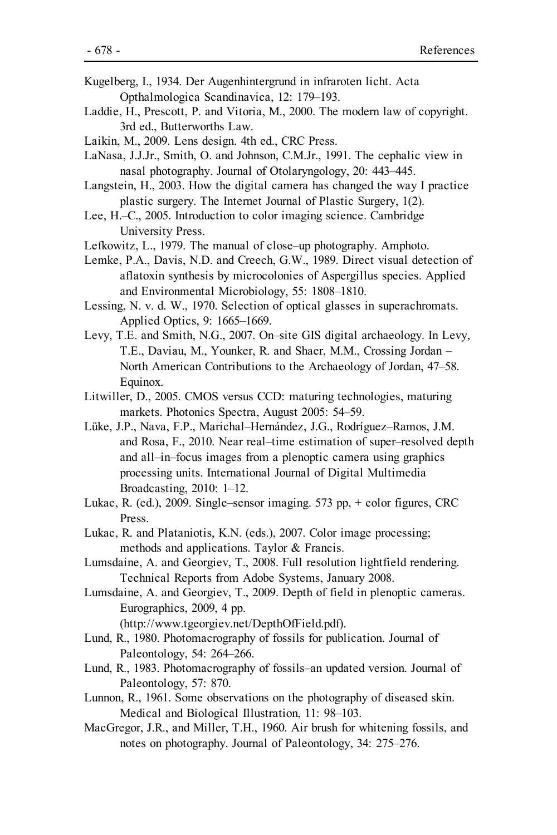- Kugelberg, I., 1934. Der Augenhintergrund in infraroten licht. Acta Opthalmologica Scandinavica, 12: 179–193.
- Laddie, H., Prescott, P. and Vitoria, M., 2000. The modern law of copyright. 3rd ed., Butterworths Law.
- Laikin, M., 2009. Lens design. 4th ed., CRC Press.
- LaNasa, J.J.Jr., Smith, O. and Johnson, C.M.Jr., 1991. The cephalic view in nasal photography. Journal of Otolaryngology, 20: 443–445.
- Langstein, H., 2003. How the digital camera has changed the way I practice plastic surgery. The Internet Journal of Plastic Surgery, 1(2).
- Lee, H.–C., 2005. Introduction to color imaging science. Cambridge University Press.
- Lefkowitz, L., 1979. The manual of close–up photography. Amphoto.
- Lemke, P.A., Davis, N.D. and Creech, G.W., 1989. Direct visual detection of aflatoxin synthesis by microcolonies of Aspergillus species. Applied and Environmental Microbiology, 55: 1808–1810.
- Lessing, N. v. d. W., 1970. Selection of optical glasses in superachromats. Applied Optics, 9: 1665–1669.
- Levy, T.E. and Smith, N.G., 2007. On–site GIS digital archaeology. In Levy, T.E., Daviau, M., Younker, R. and Shaer, M.M., Crossing Jordan – North American Contributions to the Archaeology of Jordan, 47–58. Equinox.
- Litwiller, D., 2005. CMOS versus CCD: maturing technologies, maturing markets. Photonics Spectra, August 2005: 54–59.
- Lüke, J.P., Nava, F.P., Marichal–Hernández, J.G., Rodríguez–Ramos, J.M. and Rosa, F., 2010. Near real–time estimation of super–resolved depth and all–in–focus images from a plenoptic camera using graphics processing units. International Journal of Digital Multimedia Broadcasting, 2010: 1–12.
- Lukac, R. (ed.), 2009. Single–sensor imaging. 573 pp, + color figures, CRC Press.
- Lukac, R. and Plataniotis, K.N. (eds.), 2007. Color image processing; methods and applications. Taylor & Francis.
- Lumsdaine, A. and Georgiev, T., 2008. Full resolution lightfield rendering. Technical Reports from Adobe Systems, January 2008.
- Lumsdaine, A. and Georgiev, T., 2009. Depth of field in plenoptic cameras. Eurographics, 2009, 4 pp.

(http://www.tgeorgiev.net/DepthOfField.pdf).

- Lund, R., 1980. Photomacrography of fossils for publication. Journal of Paleontology, 54: 264–266.
- Lund, R., 1983. Photomacrography of fossils–an updated version. Journal of Paleontology, 57: 870.
- Lunnon, R., 1961. Some observations on the photography of diseased skin. Medical and Biological Illustration, 11: 98–103.
- MacGregor, J.R., and Miller, T.H., 1960. Air brush for whitening fossils, and notes on photography. Journal of Paleontology, 34: 275–276.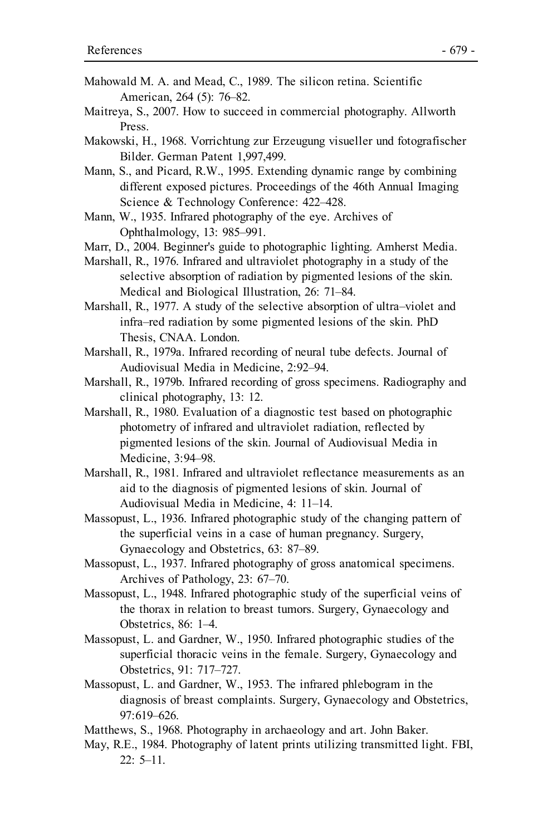- Mahowald M. A. and Mead, C., 1989. The silicon retina. Scientific American, 264 (5): 76–82.
- Maitreya, S., 2007. How to succeed in commercial photography. Allworth Press.
- Makowski, H., 1968. Vorrichtung zur Erzeugung visueller und fotografischer Bilder. German Patent 1,997,499.
- Mann, S., and Picard, R.W., 1995. Extending dynamic range by combining different exposed pictures. Proceedings of the 46th Annual Imaging Science & Technology Conference: 422–428.
- Mann, W., 1935. Infrared photography of the eye. Archives of Ophthalmology, 13: 985–991.
- Marr, D., 2004. Beginner's guide to photographic lighting. Amherst Media.
- Marshall, R., 1976. Infrared and ultraviolet photography in a study of the selective absorption of radiation by pigmented lesions of the skin. Medical and Biological Illustration, 26: 71–84.
- Marshall, R., 1977. A study of the selective absorption of ultra–violet and infra–red radiation by some pigmented lesions of the skin. PhD Thesis, CNAA. London.
- Marshall, R., 1979a. Infrared recording of neural tube defects. Journal of Audiovisual Media in Medicine, 2:92–94.
- Marshall, R., 1979b. Infrared recording of gross specimens. Radiography and clinical photography, 13: 12.
- Marshall, R., 1980. Evaluation of a diagnostic test based on photographic photometry of infrared and ultraviolet radiation, reflected by pigmented lesions of the skin. Journal of Audiovisual Media in Medicine, 3:94–98.
- Marshall, R., 1981. Infrared and ultraviolet reflectance measurements as an aid to the diagnosis of pigmented lesions of skin. Journal of Audiovisual Media in Medicine, 4: 11–14.
- Massopust, L., 1936. Infrared photographic study of the changing pattern of the superficial veins in a case of human pregnancy. Surgery, Gynaecology and Obstetrics, 63: 87–89.
- Massopust, L., 1937. Infrared photography of gross anatomical specimens. Archives of Pathology, 23: 67–70.
- Massopust, L., 1948. Infrared photographic study of the superficial veins of the thorax in relation to breast tumors. Surgery, Gynaecology and Obstetrics, 86: 1–4.
- Massopust, L. and Gardner, W., 1950. Infrared photographic studies of the superficial thoracic veins in the female. Surgery, Gynaecology and Obstetrics, 91: 717–727.
- Massopust, L. and Gardner, W., 1953. The infrared phlebogram in the diagnosis of breast complaints. Surgery, Gynaecology and Obstetrics, 97:619–626.
- Matthews, S., 1968. Photography in archaeology and art. John Baker.
- May, R.E., 1984. Photography of latent prints utilizing transmitted light. FBI,  $22: 5-11.$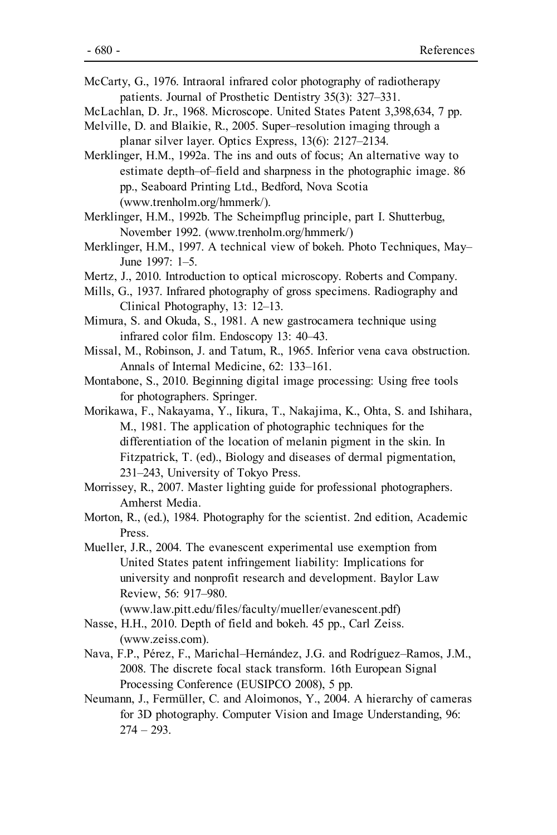- McCarty, G., 1976. Intraoral infrared color photography of radiotherapy patients. Journal of Prosthetic Dentistry 35(3): 327–331.
- McLachlan, D. Jr., 1968. Microscope. United States Patent 3,398,634, 7 pp.
- Melville, D. and Blaikie, R., 2005. Super–resolution imaging through a planar silver layer. Optics Express, 13(6): 2127–2134.
- Merklinger, H.M., 1992a. The ins and outs of focus; An alternative way to estimate depth–of–field and sharpness in the photographic image. 86 pp., Seaboard Printing Ltd., Bedford, Nova Scotia (www.trenholm.org/hmmerk/).
- Merklinger, H.M., 1992b. The Scheimpflug principle, part I. Shutterbug, November 1992. (www.trenholm.org/hmmerk/)
- Merklinger, H.M., 1997. A technical view of bokeh. Photo Techniques, May– June 1997: 1–5.
- Mertz, J., 2010. Introduction to optical microscopy. Roberts and Company.
- Mills, G., 1937. Infrared photography of gross specimens. Radiography and Clinical Photography, 13: 12–13.
- Mimura, S. and Okuda, S., 1981. A new gastrocamera technique using infrared color film. Endoscopy 13: 40–43.
- Missal, M., Robinson, J. and Tatum, R., 1965. Inferior vena cava obstruction. Annals of Internal Medicine, 62: 133–161.
- Montabone, S., 2010. Beginning digital image processing: Using free tools for photographers. Springer.
- Morikawa, F., Nakayama, Y., Iikura, T., Nakajima, K., Ohta, S. and Ishihara, M., 1981. The application of photographic techniques for the differentiation of the location of melanin pigment in the skin. In Fitzpatrick, T. (ed)., Biology and diseases of dermal pigmentation, 231–243, University of Tokyo Press.
- Morrissey, R., 2007. Master lighting guide for professional photographers. Amherst Media.
- Morton, R., (ed.), 1984. Photography for the scientist. 2nd edition, Academic Press.
- Mueller, J.R., 2004. The evanescent experimental use exemption from United States patent infringement liability: Implications for university and nonprofit research and development. Baylor Law Review, 56: 917–980.

(www.law.pitt.edu/files/faculty/mueller/evanescent.pdf)

- Nasse, H.H., 2010. Depth of field and bokeh. 45 pp., Carl Zeiss. (www.zeiss.com).
- Nava, F.P., Pérez, F., Marichal–Hernández, J.G. and Rodríguez–Ramos, J.M., 2008. The discrete focal stack transform. 16th European Signal Processing Conference (EUSIPCO 2008), 5 pp.
- Neumann, J., Fermüller, C. and Aloimonos, Y., 2004. A hierarchy of cameras for 3D photography. Computer Vision and Image Understanding, 96:  $274 - 293$ .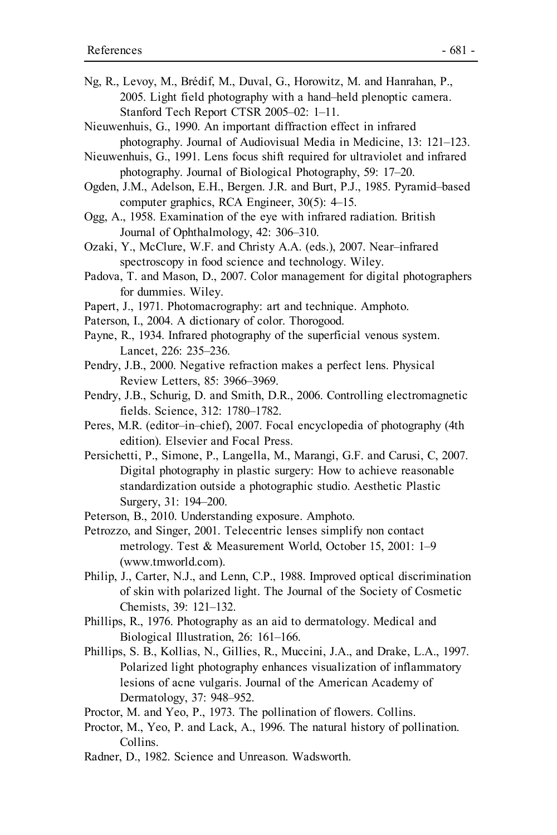- Ng, R., Levoy, M., Brédif, M., Duval, G., Horowitz, M. and Hanrahan, P., 2005. Light field photography with a hand–held plenoptic camera. Stanford Tech Report CTSR 2005–02: 1–11.
- Nieuwenhuis, G., 1990. An important diffraction effect in infrared photography. Journal of Audiovisual Media in Medicine, 13: 121–123.
- Nieuwenhuis, G., 1991. Lens focus shift required for ultraviolet and infrared photography. Journal of Biological Photography, 59: 17–20.
- Ogden, J.M., Adelson, E.H., Bergen. J.R. and Burt, P.J., 1985. Pyramid–based computer graphics, RCA Engineer, 30(5): 4–15.
- Ogg, A., 1958. Examination of the eye with infrared radiation. British Journal of Ophthalmology, 42: 306–310.
- Ozaki, Y., McClure, W.F. and Christy A.A. (eds.), 2007. Near–infrared spectroscopy in food science and technology. Wiley.
- Padova, T. and Mason, D., 2007. Color management for digital photographers for dummies. Wiley.
- Papert, J., 1971. Photomacrography: art and technique. Amphoto.
- Paterson, I., 2004. A dictionary of color. Thorogood.
- Payne, R., 1934. Infrared photography of the superficial venous system. Lancet, 226: 235–236.
- Pendry, J.B., 2000. Negative refraction makes a perfect lens. Physical Review Letters, 85: 3966–3969.
- Pendry, J.B., Schurig, D. and Smith, D.R., 2006. Controlling electromagnetic fields. Science, 312: 1780–1782.
- Peres, M.R. (editor–in–chief), 2007. Focal encyclopedia of photography (4th edition). Elsevier and Focal Press.
- Persichetti, P., Simone, P., Langella, M., Marangi, G.F. and Carusi, C, 2007. Digital photography in plastic surgery: How to achieve reasonable standardization outside a photographic studio. Aesthetic Plastic Surgery, 31: 194–200.
- Peterson, B., 2010. Understanding exposure. Amphoto.
- Petrozzo, and Singer, 2001. Telecentric lenses simplify non contact metrology. Test & Measurement World, October 15, 2001: 1–9 (www.tmworld.com).
- Philip, J., Carter, N.J., and Lenn, C.P., 1988. Improved optical discrimination of skin with polarized light. The Journal of the Society of Cosmetic Chemists, 39: 121–132.
- Phillips, R., 1976. Photography as an aid to dermatology. Medical and Biological Illustration, 26: 161–166.
- Phillips, S. B., Kollias, N., Gillies, R., Muccini, J.A., and Drake, L.A., 1997. Polarized light photography enhances visualization of inflammatory lesions of acne vulgaris. Journal of the American Academy of Dermatology, 37: 948–952.
- Proctor, M. and Yeo, P., 1973. The pollination of flowers. Collins.
- Proctor, M., Yeo, P. and Lack, A., 1996. The natural history of pollination. Collins.
- Radner, D., 1982. Science and Unreason. Wadsworth.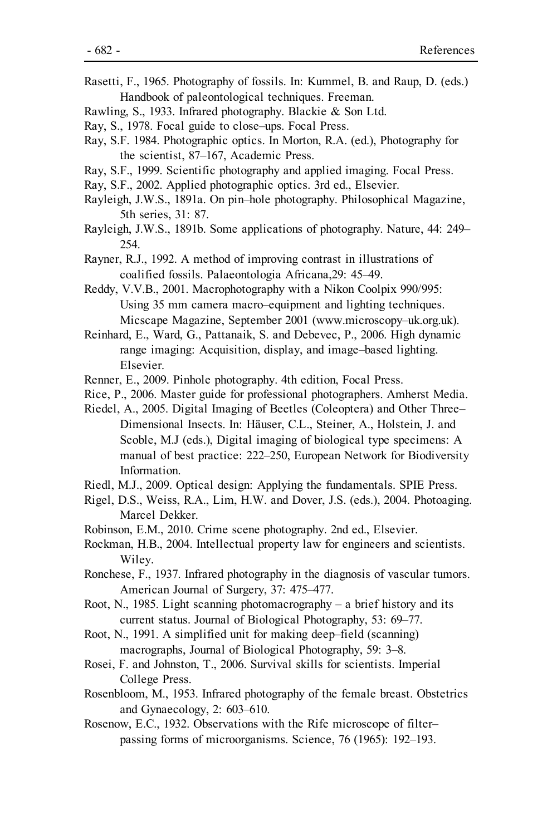- Rasetti, F., 1965. Photography of fossils. In: Kummel, B. and Raup, D. (eds.) Handbook of paleontological techniques. Freeman.
- Rawling, S., 1933. Infrared photography. Blackie & Son Ltd.
- Ray, S., 1978. Focal guide to close–ups. Focal Press.
- Ray, S.F. 1984. Photographic optics. In Morton, R.A. (ed.), Photography for the scientist, 87–167, Academic Press.
- Ray, S.F., 1999. Scientific photography and applied imaging. Focal Press.
- Ray, S.F., 2002. Applied photographic optics. 3rd ed., Elsevier.
- Rayleigh, J.W.S., 1891a. On pin–hole photography. Philosophical Magazine, 5th series, 31: 87.
- Rayleigh, J.W.S., 1891b. Some applications of photography. Nature, 44: 249– 254.
- Rayner, R.J., 1992. A method of improving contrast in illustrations of coalified fossils. Palaeontologia Africana,29: 45–49.
- Reddy, V.V.B., 2001. Macrophotography with a Nikon Coolpix 990/995: Using 35 mm camera macro–equipment and lighting techniques. Micscape Magazine, September 2001 (www.microscopy–uk.org.uk).
- Reinhard, E., Ward, G., Pattanaik, S. and Debevec, P., 2006. High dynamic range imaging: Acquisition, display, and image–based lighting. Elsevier.
- Renner, E., 2009. Pinhole photography. 4th edition, Focal Press.
- Rice, P., 2006. Master guide for professional photographers. Amherst Media.
- Riedel, A., 2005. Digital Imaging of Beetles (Coleoptera) and Other Three– Dimensional Insects. In: Häuser, C.L., Steiner, A., Holstein, J. and Scoble, M.J (eds.), Digital imaging of biological type specimens: A manual of best practice: 222–250, European Network for Biodiversity Information.
- Riedl, M.J., 2009. Optical design: Applying the fundamentals. SPIE Press.
- Rigel, D.S., Weiss, R.A., Lim, H.W. and Dover, J.S. (eds.), 2004. Photoaging. Marcel Dekker.
- Robinson, E.M., 2010. Crime scene photography. 2nd ed., Elsevier.
- Rockman, H.B., 2004. Intellectual property law for engineers and scientists. Wiley.
- Ronchese, F., 1937. Infrared photography in the diagnosis of vascular tumors. American Journal of Surgery, 37: 475–477.
- Root, N., 1985. Light scanning photomacrography a brief history and its current status. Journal of Biological Photography, 53: 69–77.
- Root, N., 1991. A simplified unit for making deep–field (scanning) macrographs, Journal of Biological Photography, 59: 3–8.
- Rosei, F. and Johnston, T., 2006. Survival skills for scientists. Imperial College Press.
- Rosenbloom, M., 1953. Infrared photography of the female breast. Obstetrics and Gynaecology, 2: 603–610.
- Rosenow, E.C., 1932. Observations with the Rife microscope of filter– passing forms of microorganisms. Science, 76 (1965): 192–193.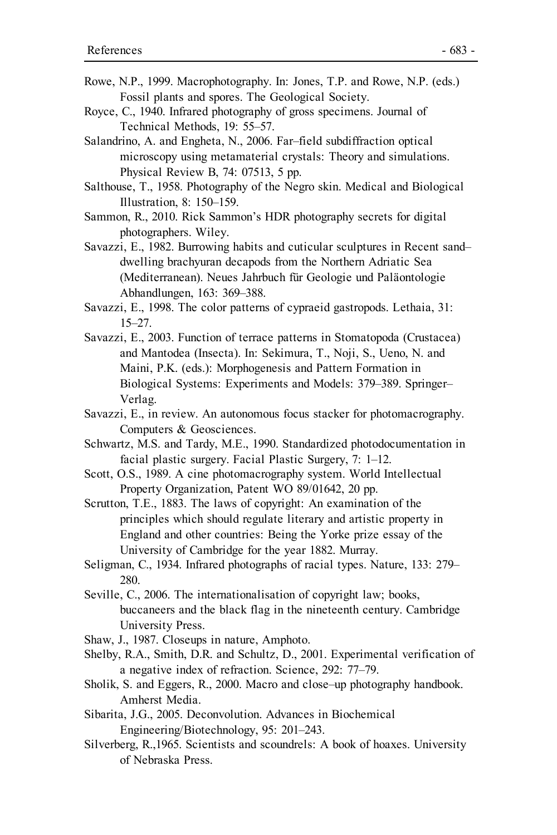- Rowe, N.P., 1999. Macrophotography. In: Jones, T.P. and Rowe, N.P. (eds.) Fossil plants and spores. The Geological Society.
- Royce, C., 1940. Infrared photography of gross specimens. Journal of Technical Methods, 19: 55–57.
- Salandrino, A. and Engheta, N., 2006. Far–field subdiffraction optical microscopy using metamaterial crystals: Theory and simulations. Physical Review B, 74: 07513, 5 pp.
- Salthouse, T., 1958. Photography of the Negro skin. Medical and Biological Illustration, 8: 150–159.
- Sammon, R., 2010. Rick Sammon's HDR photography secrets for digital photographers. Wiley.
- Savazzi, E., 1982. Burrowing habits and cuticular sculptures in Recent sand– dwelling brachyuran decapods from the Northern Adriatic Sea (Mediterranean). Neues Jahrbuch für Geologie und Paläontologie Abhandlungen, 163: 369–388.
- Savazzi, E., 1998. The color patterns of cypraeid gastropods. Lethaia, 31: 15–27.
- Savazzi, E., 2003. Function of terrace patterns in Stomatopoda (Crustacea) and Mantodea (Insecta). In: Sekimura, T., Noji, S., Ueno, N. and Maini, P.K. (eds.): Morphogenesis and Pattern Formation in Biological Systems: Experiments and Models: 379–389. Springer– Verlag.
- Savazzi, E., in review. An autonomous focus stacker for photomacrography. Computers & Geosciences.
- Schwartz, M.S. and Tardy, M.E., 1990. Standardized photodocumentation in facial plastic surgery. Facial Plastic Surgery, 7: 1–12.
- Scott, O.S., 1989. A cine photomacrography system. World Intellectual Property Organization, Patent WO 89/01642, 20 pp.
- Scrutton, T.E., 1883. The laws of copyright: An examination of the principles which should regulate literary and artistic property in England and other countries: Being the Yorke prize essay of the University of Cambridge for the year 1882. Murray.
- Seligman, C., 1934. Infrared photographs of racial types. Nature, 133: 279– 280.
- Seville, C., 2006. The internationalisation of copyright law; books, buccaneers and the black flag in the nineteenth century. Cambridge University Press.
- Shaw, J., 1987. Closeups in nature, Amphoto.
- Shelby, R.A., Smith, D.R. and Schultz, D., 2001. Experimental verification of a negative index of refraction. Science, 292: 77–79.
- Sholik, S. and Eggers, R., 2000. Macro and close–up photography handbook. Amherst Media.
- Sibarita, J.G., 2005. Deconvolution. Advances in Biochemical Engineering/Biotechnology, 95: 201–243.
- Silverberg, R.,1965. Scientists and scoundrels: A book of hoaxes. University of Nebraska Press.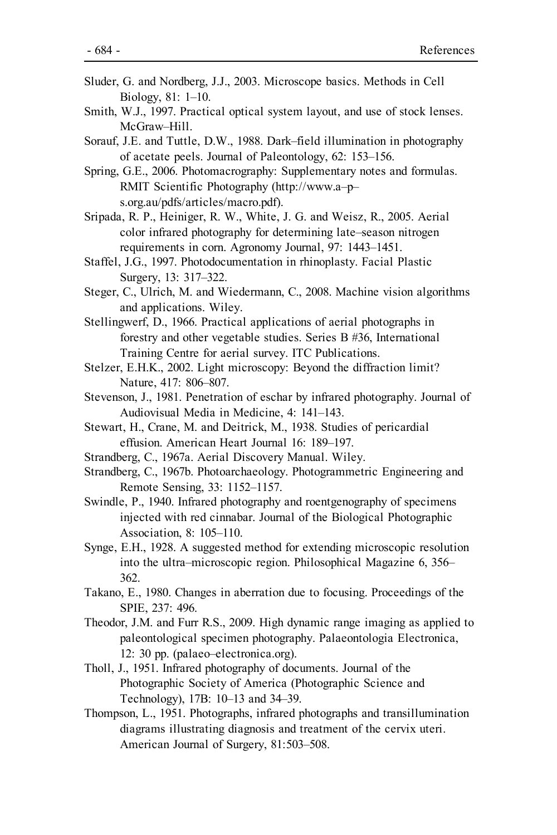- Sluder, G. and Nordberg, J.J., 2003. Microscope basics. Methods in Cell Biology, 81: 1–10.
- Smith, W.J., 1997. Practical optical system layout, and use of stock lenses. McGraw–Hill.

Sorauf, J.E. and Tuttle, D.W., 1988. Dark–field illumination in photography of acetate peels. Journal of Paleontology, 62: 153–156.

Spring, G.E., 2006. Photomacrography: Supplementary notes and formulas. RMIT Scientific Photography (http://www.a–p– s.org.au/pdfs/articles/macro.pdf).

Sripada, R. P., Heiniger, R. W., White, J. G. and Weisz, R., 2005. Aerial color infrared photography for determining late–season nitrogen requirements in corn. Agronomy Journal, 97: 1443–1451.

Staffel, J.G., 1997. Photodocumentation in rhinoplasty. Facial Plastic Surgery, 13: 317–322.

Steger, C., Ulrich, M. and Wiedermann, C., 2008. Machine vision algorithms and applications. Wiley.

Stellingwerf, D., 1966. Practical applications of aerial photographs in forestry and other vegetable studies. Series B #36, International Training Centre for aerial survey. ITC Publications.

Stelzer, E.H.K., 2002. Light microscopy: Beyond the diffraction limit? Nature, 417: 806–807.

- Stevenson, J., 1981. Penetration of eschar by infrared photography. Journal of Audiovisual Media in Medicine, 4: 141–143.
- Stewart, H., Crane, M. and Deitrick, M., 1938. Studies of pericardial effusion. American Heart Journal 16: 189–197.
- Strandberg, C., 1967a. Aerial Discovery Manual. Wiley.

Strandberg, C., 1967b. Photoarchaeology. Photogrammetric Engineering and Remote Sensing, 33: 1152–1157.

Swindle, P., 1940. Infrared photography and roentgenography of specimens injected with red cinnabar. Journal of the Biological Photographic Association, 8: 105–110.

Synge, E.H., 1928. A suggested method for extending microscopic resolution into the ultra–microscopic region. Philosophical Magazine 6, 356– 362.

Takano, E., 1980. Changes in aberration due to focusing. Proceedings of the SPIE, 237: 496.

Theodor, J.M. and Furr R.S., 2009. High dynamic range imaging as applied to paleontological specimen photography. Palaeontologia Electronica, 12: 30 pp. (palaeo–electronica.org).

Tholl, J., 1951. Infrared photography of documents. Journal of the Photographic Society of America (Photographic Science and Technology), 17B: 10–13 and 34–39.

Thompson, L., 1951. Photographs, infrared photographs and transillumination diagrams illustrating diagnosis and treatment of the cervix uteri. American Journal of Surgery, 81:503–508.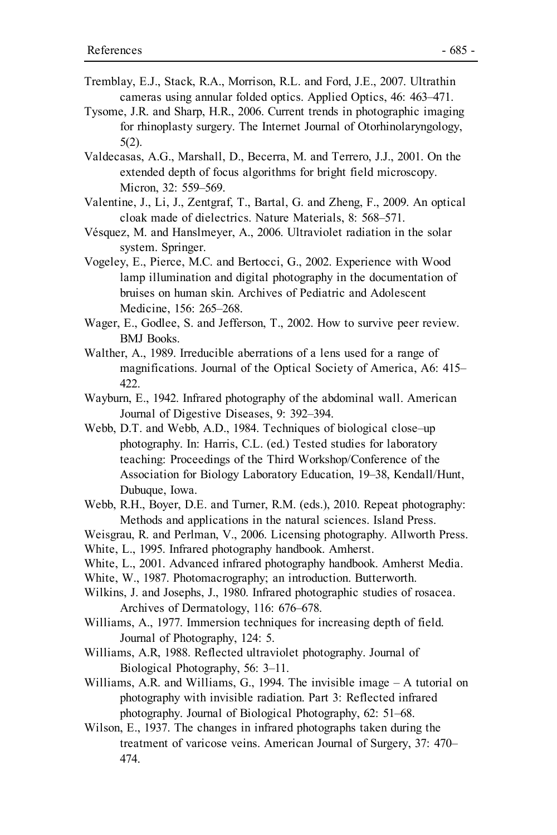- Tremblay, E.J., Stack, R.A., Morrison, R.L. and Ford, J.E., 2007. Ultrathin cameras using annular folded optics. Applied Optics, 46: 463–471.
- Tysome, J.R. and Sharp, H.R., 2006. Current trends in photographic imaging for rhinoplasty surgery. The Internet Journal of Otorhinolaryngology, 5(2).
- Valdecasas, A.G., Marshall, D., Becerra, M. and Terrero, J.J., 2001. On the extended depth of focus algorithms for bright field microscopy. Micron, 32: 559–569.
- Valentine, J., Li, J., Zentgraf, T., Bartal, G. and Zheng, F., 2009. An optical cloak made of dielectrics. Nature Materials, 8: 568–571.
- Vésquez, M. and Hanslmeyer, A., 2006. Ultraviolet radiation in the solar system. Springer.
- Vogeley, E., Pierce, M.C. and Bertocci, G., 2002. Experience with Wood lamp illumination and digital photography in the documentation of bruises on human skin. Archives of Pediatric and Adolescent Medicine, 156: 265–268.
- Wager, E., Godlee, S. and Jefferson, T., 2002. How to survive peer review. BMJ Books.
- Walther, A., 1989. Irreducible aberrations of a lens used for a range of magnifications. Journal of the Optical Society of America, A6: 415– 422.
- Wayburn, E., 1942. Infrared photography of the abdominal wall. American Journal of Digestive Diseases, 9: 392–394.
- Webb, D.T. and Webb, A.D., 1984. Techniques of biological close–up photography. In: Harris, C.L. (ed.) Tested studies for laboratory teaching: Proceedings of the Third Workshop/Conference of the Association for Biology Laboratory Education, 19–38, Kendall/Hunt, Dubuque, Iowa.
- Webb, R.H., Boyer, D.E. and Turner, R.M. (eds.), 2010. Repeat photography: Methods and applications in the natural sciences. Island Press.
- Weisgrau, R. and Perlman, V., 2006. Licensing photography. Allworth Press. White, L., 1995. Infrared photography handbook. Amherst.
- White, L., 2001. Advanced infrared photography handbook. Amherst Media.
- White, W., 1987. Photomacrography; an introduction. Butterworth.
- Wilkins, J. and Josephs, J., 1980. Infrared photographic studies of rosacea. Archives of Dermatology, 116: 676–678.
- Williams, A., 1977. Immersion techniques for increasing depth of field. Journal of Photography, 124: 5.
- Williams, A.R, 1988. Reflected ultraviolet photography. Journal of Biological Photography, 56: 3–11.
- Williams, A.R. and Williams, G., 1994. The invisible image A tutorial on photography with invisible radiation. Part 3: Reflected infrared photography. Journal of Biological Photography, 62: 51–68.
- Wilson, E., 1937. The changes in infrared photographs taken during the treatment of varicose veins. American Journal of Surgery, 37: 470– 474.